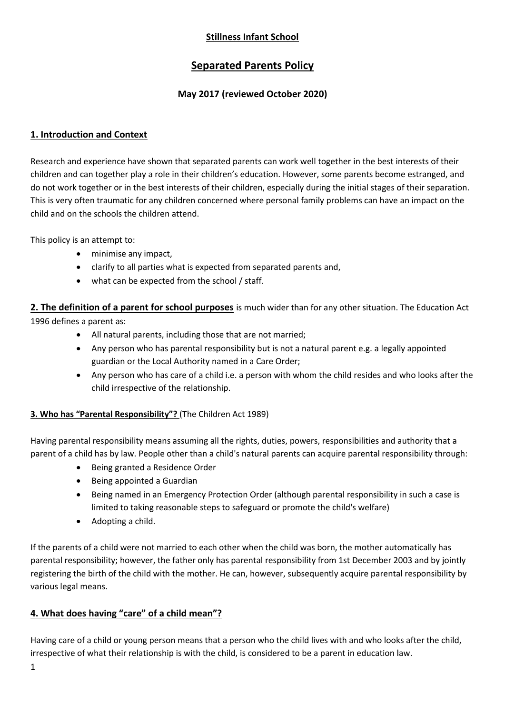# **Stillness Infant School**

# **Separated Parents Policy**

## **May 2017 (reviewed October 2020)**

## **1. Introduction and Context**

Research and experience have shown that separated parents can work well together in the best interests of their children and can together play a role in their children's education. However, some parents become estranged, and do not work together or in the best interests of their children, especially during the initial stages of their separation. This is very often traumatic for any children concerned where personal family problems can have an impact on the child and on the schools the children attend.

This policy is an attempt to:

- minimise any impact,
- clarify to all parties what is expected from separated parents and,
- what can be expected from the school / staff.

**2. The definition of a parent for school purposes** is much wider than for any other situation. The Education Act 1996 defines a parent as:

- All natural parents, including those that are not married;
- Any person who has parental responsibility but is not a natural parent e.g. a legally appointed guardian or the Local Authority named in a Care Order;
- Any person who has care of a child i.e. a person with whom the child resides and who looks after the child irrespective of the relationship.

## **3. Who has "Parental Responsibility"?** (The Children Act 1989)

Having parental responsibility means assuming all the rights, duties, powers, responsibilities and authority that a parent of a child has by law. People other than a child's natural parents can acquire parental responsibility through:

- Being granted a Residence Order
- Being appointed a Guardian
- Being named in an Emergency Protection Order (although parental responsibility in such a case is limited to taking reasonable steps to safeguard or promote the child's welfare)
- Adopting a child.

If the parents of a child were not married to each other when the child was born, the mother automatically has parental responsibility; however, the father only has parental responsibility from 1st December 2003 and by jointly registering the birth of the child with the mother. He can, however, subsequently acquire parental responsibility by various legal means.

## **4. What does having "care" of a child mean"?**

Having care of a child or young person means that a person who the child lives with and who looks after the child, irrespective of what their relationship is with the child, is considered to be a parent in education law.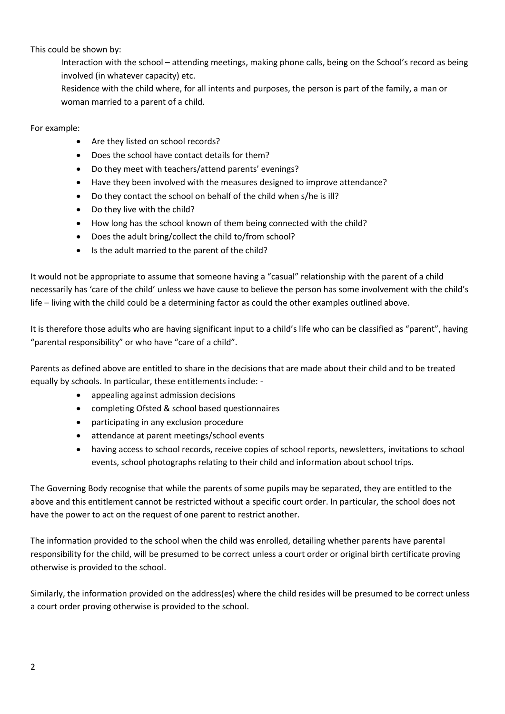This could be shown by:

Interaction with the school – attending meetings, making phone calls, being on the School's record as being involved (in whatever capacity) etc.

Residence with the child where, for all intents and purposes, the person is part of the family, a man or woman married to a parent of a child.

For example:

- Are they listed on school records?
- Does the school have contact details for them?
- Do they meet with teachers/attend parents' evenings?
- Have they been involved with the measures designed to improve attendance?
- Do they contact the school on behalf of the child when s/he is ill?
- Do they live with the child?
- How long has the school known of them being connected with the child?
- Does the adult bring/collect the child to/from school?
- Is the adult married to the parent of the child?

It would not be appropriate to assume that someone having a "casual" relationship with the parent of a child necessarily has 'care of the child' unless we have cause to believe the person has some involvement with the child's life – living with the child could be a determining factor as could the other examples outlined above.

It is therefore those adults who are having significant input to a child's life who can be classified as "parent", having "parental responsibility" or who have "care of a child".

Parents as defined above are entitled to share in the decisions that are made about their child and to be treated equally by schools. In particular, these entitlements include: -

- appealing against admission decisions
- completing Ofsted & school based questionnaires
- participating in any exclusion procedure
- attendance at parent meetings/school events
- having access to school records, receive copies of school reports, newsletters, invitations to school events, school photographs relating to their child and information about school trips.

The Governing Body recognise that while the parents of some pupils may be separated, they are entitled to the above and this entitlement cannot be restricted without a specific court order. In particular, the school does not have the power to act on the request of one parent to restrict another.

The information provided to the school when the child was enrolled, detailing whether parents have parental responsibility for the child, will be presumed to be correct unless a court order or original birth certificate proving otherwise is provided to the school.

Similarly, the information provided on the address(es) where the child resides will be presumed to be correct unless a court order proving otherwise is provided to the school.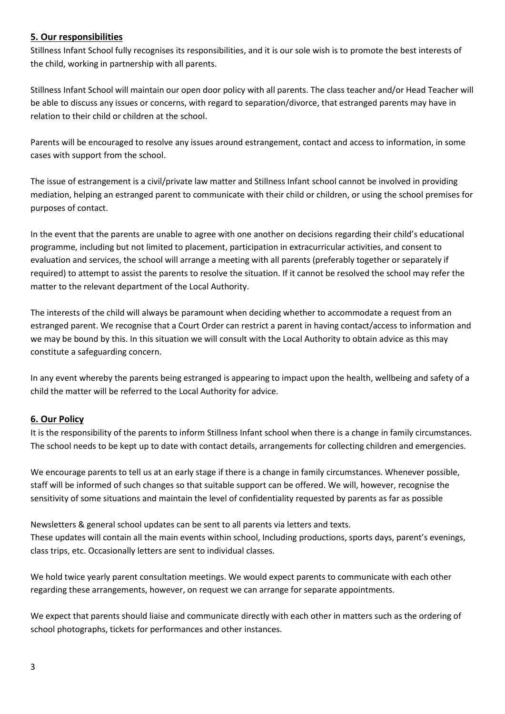## **5. Our responsibilities**

Stillness Infant School fully recognises its responsibilities, and it is our sole wish is to promote the best interests of the child, working in partnership with all parents.

Stillness Infant School will maintain our open door policy with all parents. The class teacher and/or Head Teacher will be able to discuss any issues or concerns, with regard to separation/divorce, that estranged parents may have in relation to their child or children at the school.

Parents will be encouraged to resolve any issues around estrangement, contact and access to information, in some cases with support from the school.

The issue of estrangement is a civil/private law matter and Stillness Infant school cannot be involved in providing mediation, helping an estranged parent to communicate with their child or children, or using the school premises for purposes of contact.

In the event that the parents are unable to agree with one another on decisions regarding their child's educational programme, including but not limited to placement, participation in extracurricular activities, and consent to evaluation and services, the school will arrange a meeting with all parents (preferably together or separately if required) to attempt to assist the parents to resolve the situation. If it cannot be resolved the school may refer the matter to the relevant department of the Local Authority.

The interests of the child will always be paramount when deciding whether to accommodate a request from an estranged parent. We recognise that a Court Order can restrict a parent in having contact/access to information and we may be bound by this. In this situation we will consult with the Local Authority to obtain advice as this may constitute a safeguarding concern.

In any event whereby the parents being estranged is appearing to impact upon the health, wellbeing and safety of a child the matter will be referred to the Local Authority for advice.

## **6. Our Policy**

It is the responsibility of the parents to inform Stillness Infant school when there is a change in family circumstances. The school needs to be kept up to date with contact details, arrangements for collecting children and emergencies.

We encourage parents to tell us at an early stage if there is a change in family circumstances. Whenever possible, staff will be informed of such changes so that suitable support can be offered. We will, however, recognise the sensitivity of some situations and maintain the level of confidentiality requested by parents as far as possible

Newsletters & general school updates can be sent to all parents via letters and texts. These updates will contain all the main events within school, Including productions, sports days, parent's evenings, class trips, etc. Occasionally letters are sent to individual classes.

We hold twice yearly parent consultation meetings. We would expect parents to communicate with each other regarding these arrangements, however, on request we can arrange for separate appointments.

We expect that parents should liaise and communicate directly with each other in matters such as the ordering of school photographs, tickets for performances and other instances.